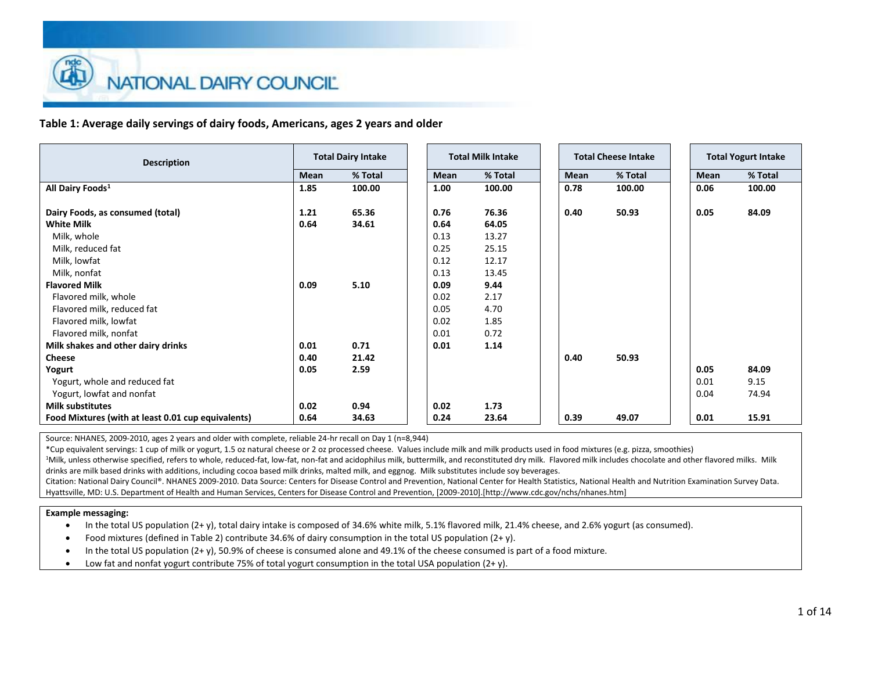**Table 1: Average daily servings of dairy foods, Americans, ages 2 years and older**

Source: NHANES, 2009-2010, ages 2 years and older with complete, reliable 24-hr recall on Day 1 (n=8,944)

\*Cup equivalent servings: 1 cup of milk or yogurt, 1.5 oz natural cheese or 2 oz processed cheese. Values include milk and milk products used in food mixtures (e.g. pizza, smoothies)

<sup>1</sup>Milk, unless otherwise specified, refers to whole, reduced-fat, low-fat, non-fat and acidophilus milk, buttermilk, and reconstituted dry milk. Flavored milk includes chocolate and other flavored milks. Milk drinks are milk based drinks with additions, including cocoa based milk drinks, malted milk, and eggnog. Milk substitutes include soy beverages.

Citation: National Dairy Council®. NHANES 2009-2010. Data Source: Centers for Disease Control and Prevention, National Center for Health Statistics, National Health and Nutrition Examination Survey Data. Hyattsville, MD: U.S. Department of Health and Human Services, Centers for Disease Control and Prevention, [2009-2010].[http://www.cdc.gov/nchs/nhanes.htm]

### **Example messaging:**

In the total US population (2+ y), total dairy intake is composed of 34.6% white milk, 5.1% flavored milk, 21.4% cheese, and 2.6% yogurt (as consumed).

- Food mixtures (defined in Table 2) contribute 34.6% of dairy consumption in the total US population (2+ y).
- In the total US population (2+ y), 50.9% of cheese is consumed alone and 49.1% of the cheese consumed is part of a food mixture.
- Low fat and nonfat yogurt contribute 75% of total yogurt consumption in the total USA population (2+ y).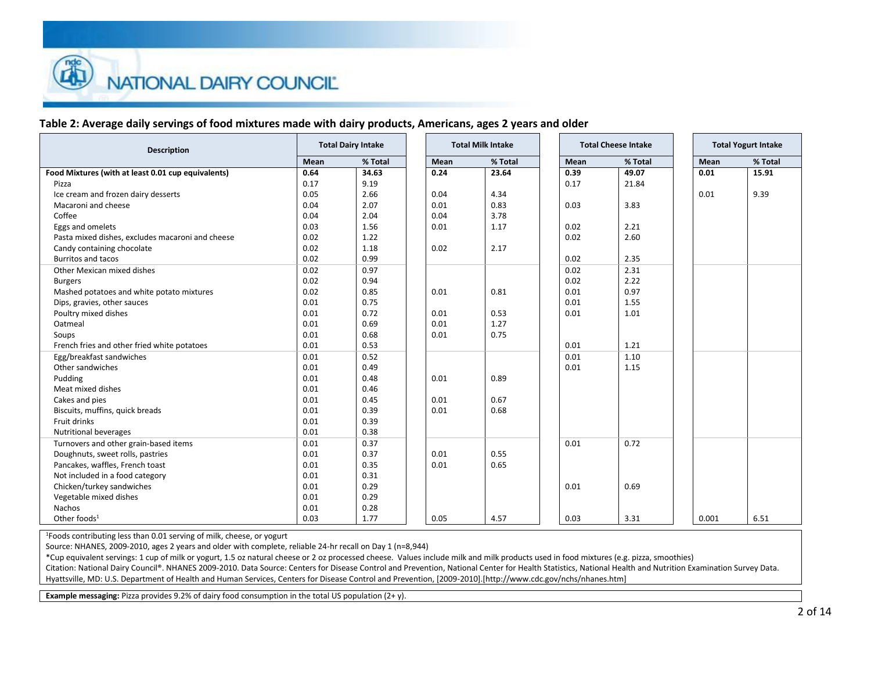## **Table 2: Average daily servings of food mixtures made with dairy products, Americans, ages 2 years and older**

| <b>Description</b>                                 | <b>Total Dairy Intake</b><br><b>Total Milk Intake</b> |         |  | <b>Total Cheese Intake</b> | <b>Total Yogurt Intake</b> |      |         |       |
|----------------------------------------------------|-------------------------------------------------------|---------|--|----------------------------|----------------------------|------|---------|-------|
|                                                    | Mean                                                  | % Total |  | Mean                       | % Total                    | Mean | % Total | Mean  |
| Food Mixtures (with at least 0.01 cup equivalents) | 0.64                                                  | 34.63   |  | 0.24                       | 23.64                      | 0.39 | 49.07   | 0.01  |
| Pizza                                              | 0.17                                                  | 9.19    |  |                            |                            | 0.17 | 21.84   |       |
| Ice cream and frozen dairy desserts                | 0.05                                                  | 2.66    |  | 0.04                       | 4.34                       |      |         | 0.01  |
| Macaroni and cheese                                | 0.04                                                  | 2.07    |  | 0.01                       | 0.83                       | 0.03 | 3.83    |       |
| Coffee                                             | 0.04                                                  | 2.04    |  | 0.04                       | 3.78                       |      |         |       |
| Eggs and omelets                                   | 0.03                                                  | 1.56    |  | 0.01                       | 1.17                       | 0.02 | 2.21    |       |
| Pasta mixed dishes, excludes macaroni and cheese   | 0.02                                                  | 1.22    |  |                            |                            | 0.02 | 2.60    |       |
| Candy containing chocolate                         | 0.02                                                  | 1.18    |  | 0.02                       | 2.17                       |      |         |       |
| <b>Burritos and tacos</b>                          | 0.02                                                  | 0.99    |  |                            |                            | 0.02 | 2.35    |       |
| Other Mexican mixed dishes                         | 0.02                                                  | 0.97    |  |                            |                            | 0.02 | 2.31    |       |
| <b>Burgers</b>                                     | 0.02                                                  | 0.94    |  |                            |                            | 0.02 | 2.22    |       |
| Mashed potatoes and white potato mixtures          | 0.02                                                  | 0.85    |  | 0.01                       | 0.81                       | 0.01 | 0.97    |       |
| Dips, gravies, other sauces                        | 0.01                                                  | 0.75    |  |                            |                            | 0.01 | 1.55    |       |
| Poultry mixed dishes                               | 0.01                                                  | 0.72    |  | 0.01                       | 0.53                       | 0.01 | 1.01    |       |
| Oatmeal                                            | 0.01                                                  | 0.69    |  | 0.01                       | 1.27                       |      |         |       |
| Soups                                              | 0.01                                                  | 0.68    |  | 0.01                       | 0.75                       |      |         |       |
| French fries and other fried white potatoes        | 0.01                                                  | 0.53    |  |                            |                            | 0.01 | 1.21    |       |
| Egg/breakfast sandwiches                           | 0.01                                                  | 0.52    |  |                            |                            | 0.01 | 1.10    |       |
| Other sandwiches                                   | 0.01                                                  | 0.49    |  |                            |                            | 0.01 | 1.15    |       |
| Pudding                                            | 0.01                                                  | 0.48    |  | 0.01                       | 0.89                       |      |         |       |
| Meat mixed dishes                                  | 0.01                                                  | 0.46    |  |                            |                            |      |         |       |
| Cakes and pies                                     | 0.01                                                  | 0.45    |  | 0.01                       | 0.67                       |      |         |       |
| Biscuits, muffins, quick breads                    | 0.01                                                  | 0.39    |  | 0.01                       | 0.68                       |      |         |       |
| Fruit drinks                                       | 0.01                                                  | 0.39    |  |                            |                            |      |         |       |
| <b>Nutritional beverages</b>                       | 0.01                                                  | 0.38    |  |                            |                            |      |         |       |
| Turnovers and other grain-based items              | 0.01                                                  | 0.37    |  |                            |                            | 0.01 | 0.72    |       |
| Doughnuts, sweet rolls, pastries                   | 0.01                                                  | 0.37    |  | 0.01                       | 0.55                       |      |         |       |
| Pancakes, waffles, French toast                    | 0.01                                                  | 0.35    |  | 0.01                       | 0.65                       |      |         |       |
| Not included in a food category                    | 0.01                                                  | 0.31    |  |                            |                            |      |         |       |
| Chicken/turkey sandwiches                          | 0.01                                                  | 0.29    |  |                            |                            | 0.01 | 0.69    |       |
| Vegetable mixed dishes                             | 0.01                                                  | 0.29    |  |                            |                            |      |         |       |
| <b>Nachos</b>                                      | 0.01                                                  | 0.28    |  |                            |                            |      |         |       |
| Other foods <sup>1</sup>                           | 0.03                                                  | 1.77    |  | 0.05                       | 4.57                       | 0.03 | 3.31    | 0.001 |

<sup>1</sup>Foods contributing less than 0.01 serving of milk, cheese, or yogurt

Source: NHANES, 2009-2010, ages 2 years and older with complete, reliable 24-hr recall on Day 1 (n=8,944)

\*Cup equivalent servings: 1 cup of milk or yogurt, 1.5 oz natural cheese or 2 oz processed cheese. Values include milk and milk products used in food mixtures (e.g. pizza, smoothies)

Citation: National Dairy Council®. NHANES 2009-2010. Data Source: Centers for Disease Control and Prevention, National Center for Health Statistics, National Health and Nutrition Examination Survey Data. Hyattsville, MD: U.S. Department of Health and Human Services, Centers for Disease Control and Prevention, [2009-2010].[http://www.cdc.gov/nchs/nhanes.htm]

**Example messaging:** Pizza provides 9.2% of dairy food consumption in the total US population (2+ y).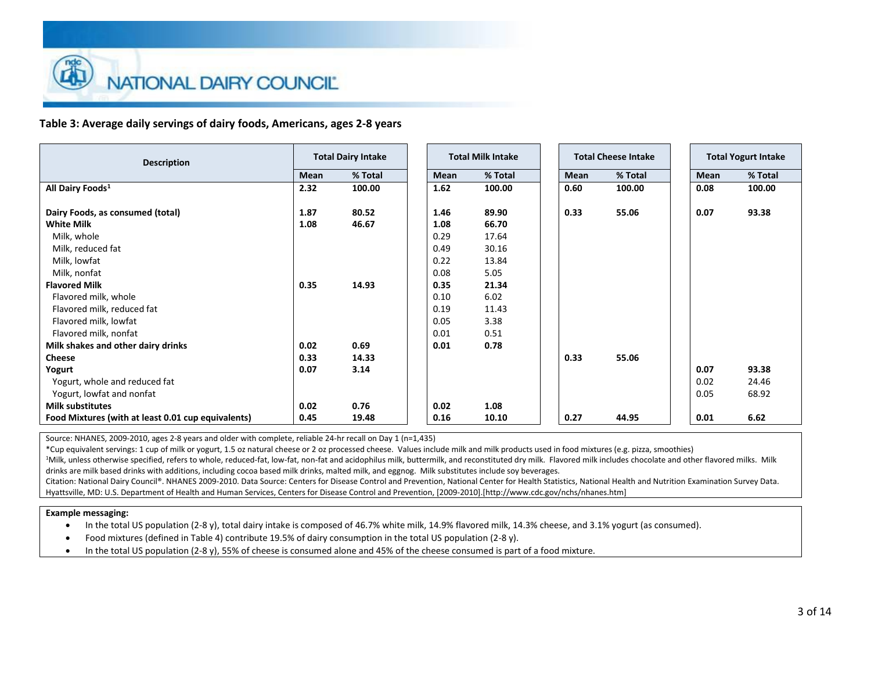### **Table 3: Average daily servings of dairy foods, Americans, ages 2-8 years**

| <b>Total Dairy Intake</b><br><b>Description</b>                     | <b>Total Milk Intake</b> |
|---------------------------------------------------------------------|--------------------------|
| % Total<br>Mean                                                     | Mean                     |
| All Dairy Foods <sup>1</sup><br>100.00<br>2.32                      | 1.62                     |
| Dairy Foods, as consumed (total)<br>1.87<br>80.52                   | 1.46                     |
| <b>White Milk</b><br>1.08<br>46.67                                  | 1.08                     |
| Milk, whole                                                         | 0.29                     |
| Milk, reduced fat                                                   | 0.49                     |
| Milk, lowfat                                                        | 0.22                     |
| Milk, nonfat                                                        | 0.08                     |
| <b>Flavored Milk</b><br>0.35<br>14.93                               | 0.35                     |
| Flavored milk, whole                                                | 0.10                     |
| Flavored milk, reduced fat                                          | 0.19                     |
| Flavored milk, lowfat                                               | 0.05                     |
| Flavored milk, nonfat                                               | 0.01                     |
| 0.69<br>Milk shakes and other dairy drinks<br>0.02                  | 0.01                     |
| <b>Cheese</b><br>0.33<br>14.33                                      |                          |
| 3.14<br>Yogurt<br>0.07                                              |                          |
| Yogurt, whole and reduced fat                                       |                          |
| Yogurt, lowfat and nonfat                                           |                          |
| 0.76<br><b>Milk substitutes</b><br>0.02                             | 0.02                     |
| Food Mixtures (with at least 0.01 cup equivalents)<br>0.45<br>19.48 | 0.16                     |

Source: NHANES, 2009-2010, ages 2-8 years and older with complete, reliable 24-hr recall on Day 1 (n=1,435)

\*Cup equivalent servings: 1 cup of milk or yogurt, 1.5 oz natural cheese or 2 oz processed cheese. Values include milk and milk products used in food mixtures (e.g. pizza, smoothies)

<sup>1</sup>Milk, unless otherwise specified, refers to whole, reduced-fat, low-fat, non-fat and acidophilus milk, buttermilk, and reconstituted dry milk. Flavored milk includes chocolate and other flavored milks. Milk drinks are milk based drinks with additions, including cocoa based milk drinks, malted milk, and eggnog. Milk substitutes include soy beverages.

Citation: National Dairy Council®. NHANES 2009-2010. Data Source: Centers for Disease Control and Prevention, National Center for Health Statistics, National Health and Nutrition Examination Survey Data. Hyattsville, MD: U.S. Department of Health and Human Services, Centers for Disease Control and Prevention, [2009-2010].[http://www.cdc.gov/nchs/nhanes.htm]

### **Example messaging:**

In the total US population (2-8 y), total dairy intake is composed of 46.7% white milk, 14.9% flavored milk, 14.3% cheese, and 3.1% yogurt (as consumed).

- Food mixtures (defined in Table 4) contribute 19.5% of dairy consumption in the total US population (2-8 y).
- In the total US population (2-8 y), 55% of cheese is consumed alone and 45% of the cheese consumed is part of a food mixture.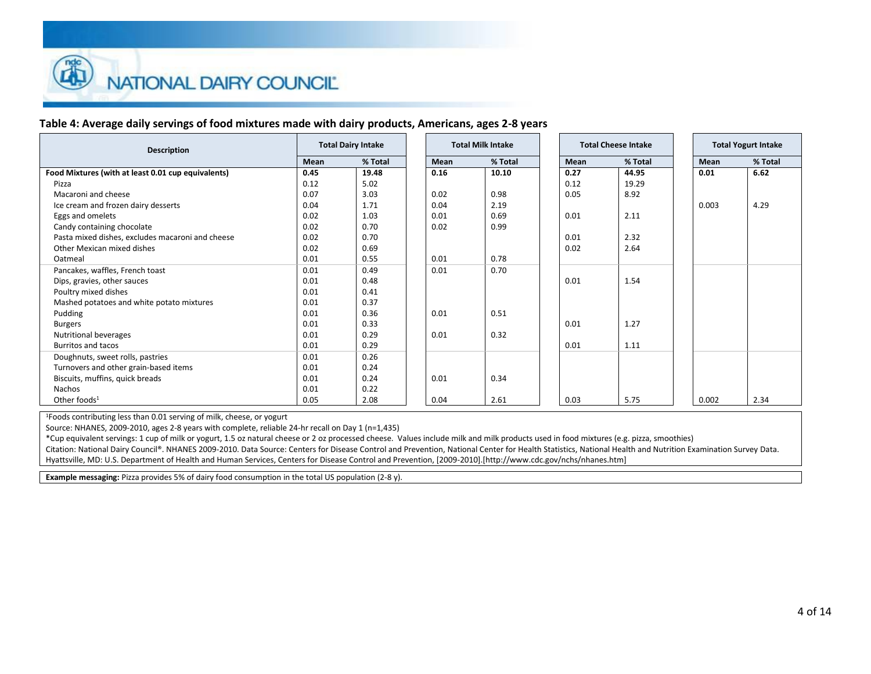# **Table 4: Average daily servings of food mixtures made with dairy products, Americans, ages 2-8 years**

| <b>Description</b>                                 | <b>Total Dairy Intake</b> |         | <b>Total Milk Intake</b> |         | <b>Total Cheese Intake</b> |         |  | <b>Total Yogurt Intake</b> |         |
|----------------------------------------------------|---------------------------|---------|--------------------------|---------|----------------------------|---------|--|----------------------------|---------|
|                                                    | Mean                      | % Total | Mean                     | % Total | Mean                       | % Total |  | Mean                       | % Total |
| Food Mixtures (with at least 0.01 cup equivalents) | 0.45                      | 19.48   | 0.16                     | 10.10   | 0.27                       | 44.95   |  | 0.01                       | 6.62    |
| Pizza                                              | 0.12                      | 5.02    |                          |         | 0.12                       | 19.29   |  |                            |         |
| Macaroni and cheese                                | 0.07                      | 3.03    | 0.02                     | 0.98    | 0.05                       | 8.92    |  |                            |         |
| Ice cream and frozen dairy desserts                | 0.04                      | 1.71    | 0.04                     | 2.19    |                            |         |  | 0.003                      | 4.29    |
| Eggs and omelets                                   | 0.02                      | 1.03    | 0.01                     | 0.69    | 0.01                       | 2.11    |  |                            |         |
| Candy containing chocolate                         | 0.02                      | 0.70    | 0.02                     | 0.99    |                            |         |  |                            |         |
| Pasta mixed dishes, excludes macaroni and cheese   | 0.02                      | 0.70    |                          |         | 0.01                       | 2.32    |  |                            |         |
| Other Mexican mixed dishes                         | 0.02                      | 0.69    |                          |         | 0.02                       | 2.64    |  |                            |         |
| Oatmeal                                            | 0.01                      | 0.55    | 0.01                     | 0.78    |                            |         |  |                            |         |
| Pancakes, waffles, French toast                    | 0.01                      | 0.49    | 0.01                     | 0.70    |                            |         |  |                            |         |
| Dips, gravies, other sauces                        | 0.01                      | 0.48    |                          |         | 0.01                       | 1.54    |  |                            |         |
| Poultry mixed dishes                               | 0.01                      | 0.41    |                          |         |                            |         |  |                            |         |
| Mashed potatoes and white potato mixtures          | 0.01                      | 0.37    |                          |         |                            |         |  |                            |         |
| Pudding                                            | 0.01                      | 0.36    | 0.01                     | 0.51    |                            |         |  |                            |         |
| <b>Burgers</b>                                     | 0.01                      | 0.33    |                          |         | 0.01                       | 1.27    |  |                            |         |
| Nutritional beverages                              | 0.01                      | 0.29    | 0.01                     | 0.32    |                            |         |  |                            |         |
| <b>Burritos and tacos</b>                          | 0.01                      | 0.29    |                          |         | 0.01                       | 1.11    |  |                            |         |
| Doughnuts, sweet rolls, pastries                   | 0.01                      | 0.26    |                          |         |                            |         |  |                            |         |
| Turnovers and other grain-based items              | 0.01                      | 0.24    |                          |         |                            |         |  |                            |         |
| Biscuits, muffins, quick breads                    | 0.01                      | 0.24    | 0.01                     | 0.34    |                            |         |  |                            |         |
| <b>Nachos</b>                                      | 0.01                      | 0.22    |                          |         |                            |         |  |                            |         |
| Other foods $1$                                    | 0.05                      | 2.08    | 0.04                     | 2.61    | 0.03                       | 5.75    |  | 0.002                      | 2.34    |

<sup>1</sup>Foods contributing less than 0.01 serving of milk, cheese, or yogurt

Source: NHANES, 2009-2010, ages 2-8 years with complete, reliable 24-hr recall on Day 1 (n=1,435)

\*Cup equivalent servings: 1 cup of milk or yogurt, 1.5 oz natural cheese or 2 oz processed cheese. Values include milk and milk products used in food mixtures (e.g. pizza, smoothies) Citation: National Dairy Council®. NHANES 2009-2010. Data Source: Centers for Disease Control and Prevention, National Center for Health Statistics, National Health and Nutrition Examination Survey Data.

Hyattsville, MD: U.S. Department of Health and Human Services, Centers for Disease Control and Prevention, [2009-2010].[http://www.cdc.gov/nchs/nhanes.htm]

**Example messaging:** Pizza provides 5% of dairy food consumption in the total US population (2-8 y).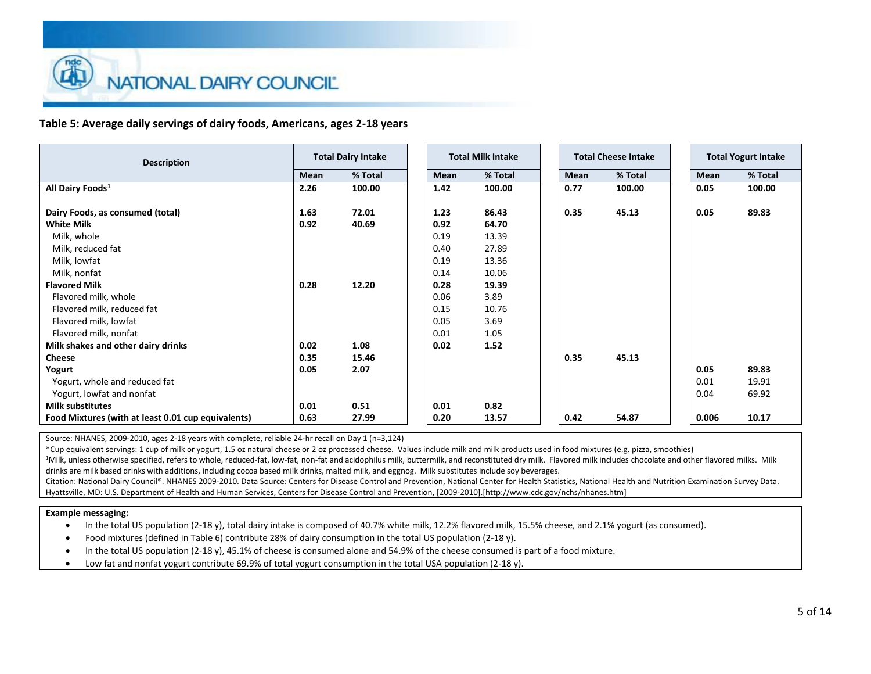### **Table 5: Average daily servings of dairy foods, Americans, ages 2-18 years**

| <b>Description</b>                                 |      | <b>Total Dairy Intake</b> |      | <b>Total Milk Intake</b> |
|----------------------------------------------------|------|---------------------------|------|--------------------------|
|                                                    | Mean | % Total                   | Mean |                          |
| All Dairy Foods <sup>1</sup>                       | 2.26 | 100.00                    | 1.42 |                          |
| Dairy Foods, as consumed (total)                   | 1.63 | 72.01                     | 1.23 |                          |
| <b>White Milk</b>                                  | 0.92 | 40.69                     | 0.92 |                          |
| Milk, whole                                        |      |                           | 0.19 | 13.39                    |
| Milk, reduced fat                                  |      |                           | 0.40 | 27.89                    |
| Milk, lowfat                                       |      |                           | 0.19 | 13.36                    |
| Milk, nonfat                                       |      |                           | 0.14 | 10.06                    |
| <b>Flavored Milk</b>                               | 0.28 | 12.20                     | 0.28 | 19.39                    |
| Flavored milk, whole                               |      |                           | 0.06 | 3.89                     |
| Flavored milk, reduced fat                         |      |                           | 0.15 | 10.76                    |
| Flavored milk, lowfat                              |      |                           | 0.05 | 3.69                     |
| Flavored milk, nonfat                              |      |                           | 0.01 | 1.05                     |
| Milk shakes and other dairy drinks                 | 0.02 | 1.08                      | 0.02 | 1.52                     |
| <b>Cheese</b>                                      | 0.35 | 15.46                     |      |                          |
| Yogurt                                             | 0.05 | 2.07                      |      |                          |
| Yogurt, whole and reduced fat                      |      |                           |      |                          |
| Yogurt, lowfat and nonfat                          |      |                           |      |                          |
| <b>Milk substitutes</b>                            | 0.01 | 0.51                      | 0.01 | 0.82                     |
| Food Mixtures (with at least 0.01 cup equivalents) | 0.63 | 27.99                     | 0.20 | 13.57                    |

Source: NHANES, 2009-2010, ages 2-18 years with complete, reliable 24-hr recall on Day 1 (n=3,124)

\*Cup equivalent servings: 1 cup of milk or yogurt, 1.5 oz natural cheese or 2 oz processed cheese. Values include milk and milk products used in food mixtures (e.g. pizza, smoothies)

<sup>1</sup>Milk, unless otherwise specified, refers to whole, reduced-fat, low-fat, non-fat and acidophilus milk, buttermilk, and reconstituted dry milk. Flavored milk includes chocolate and other flavored milks. Milk drinks are milk based drinks with additions, including cocoa based milk drinks, malted milk, and eggnog. Milk substitutes include soy beverages.

Citation: National Dairy Council®. NHANES 2009-2010. Data Source: Centers for Disease Control and Prevention, National Center for Health Statistics, National Health and Nutrition Examination Survey Data. Hyattsville, MD: U.S. Department of Health and Human Services, Centers for Disease Control and Prevention, [2009-2010].[http://www.cdc.gov/nchs/nhanes.htm]

#### **Example messaging:**

In the total US population (2-18 y), total dairy intake is composed of 40.7% white milk, 12.2% flavored milk, 15.5% cheese, and 2.1% yogurt (as consumed).

- Food mixtures (defined in Table 6) contribute 28% of dairy consumption in the total US population (2-18 y).
- In the total US population (2-18 y), 45.1% of cheese is consumed alone and 54.9% of the cheese consumed is part of a food mixture.
- Low fat and nonfat yogurt contribute 69.9% of total yogurt consumption in the total USA population (2-18 y).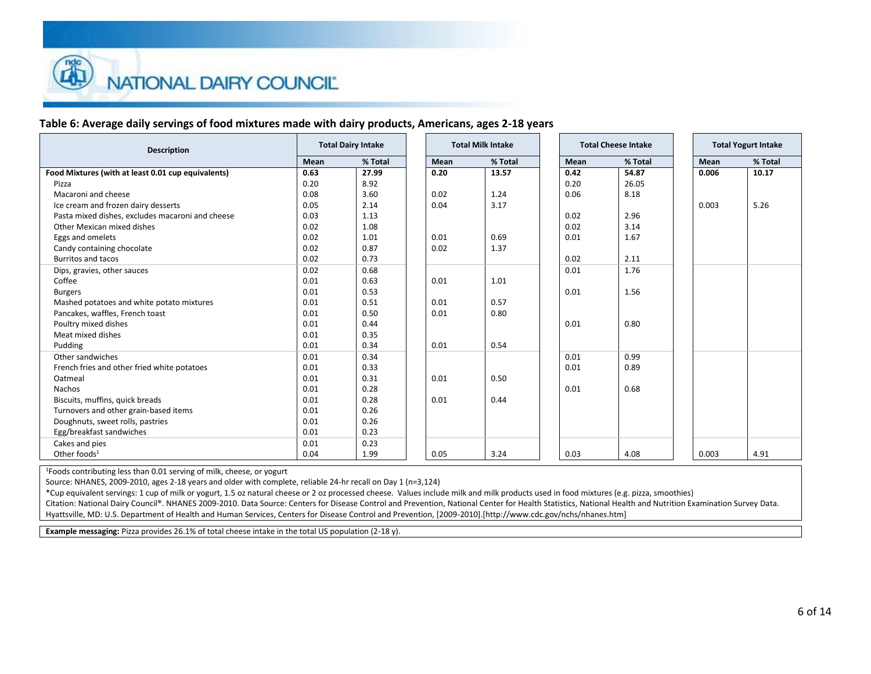# **Table 6: Average daily servings of food mixtures made with dairy products, Americans, ages 2-18 years**

| <b>Description</b>                                 |      | <b>Total Dairy Intake</b> |      |      | <b>Total Milk Intake</b> | <b>Total Cheese Intake</b> |
|----------------------------------------------------|------|---------------------------|------|------|--------------------------|----------------------------|
|                                                    | Mean | % Total                   | Mean |      | % Total                  | Mean                       |
| Food Mixtures (with at least 0.01 cup equivalents) | 0.63 | 27.99                     | 0.20 |      | 13.57                    | 0.42                       |
| Pizza                                              | 0.20 | 8.92                      |      |      |                          | 0.20                       |
| Macaroni and cheese                                | 0.08 | 3.60                      | 0.02 | 1.24 |                          | 0.06                       |
| Ice cream and frozen dairy desserts                | 0.05 | 2.14                      | 0.04 | 3.17 |                          |                            |
| Pasta mixed dishes, excludes macaroni and cheese   | 0.03 | 1.13                      |      |      |                          | 0.02                       |
| Other Mexican mixed dishes                         | 0.02 | 1.08                      |      |      |                          | 0.02                       |
| Eggs and omelets                                   | 0.02 | 1.01                      | 0.01 | 0.69 |                          | 0.01                       |
| Candy containing chocolate                         | 0.02 | 0.87                      | 0.02 | 1.37 |                          |                            |
| <b>Burritos and tacos</b>                          | 0.02 | 0.73                      |      |      |                          | 0.02                       |
| Dips, gravies, other sauces                        | 0.02 | 0.68                      |      |      |                          | 0.01                       |
| Coffee                                             | 0.01 | 0.63                      | 0.01 | 1.01 |                          |                            |
| <b>Burgers</b>                                     | 0.01 | 0.53                      |      |      |                          | 0.01                       |
| Mashed potatoes and white potato mixtures          | 0.01 | 0.51                      | 0.01 | 0.57 |                          |                            |
| Pancakes, waffles, French toast                    | 0.01 | 0.50                      | 0.01 | 0.80 |                          |                            |
| Poultry mixed dishes                               | 0.01 | 0.44                      |      |      |                          | 0.01                       |
| Meat mixed dishes                                  | 0.01 | 0.35                      |      |      |                          |                            |
| Pudding                                            | 0.01 | 0.34                      | 0.01 | 0.54 |                          |                            |
| Other sandwiches                                   | 0.01 | 0.34                      |      |      |                          | 0.01                       |
| French fries and other fried white potatoes        | 0.01 | 0.33                      |      |      |                          | 0.01                       |
| Oatmeal                                            | 0.01 | 0.31                      | 0.01 | 0.50 |                          |                            |
| Nachos                                             | 0.01 | 0.28                      |      |      |                          | 0.01                       |
| Biscuits, muffins, quick breads                    | 0.01 | 0.28                      | 0.01 | 0.44 |                          |                            |
| Turnovers and other grain-based items              | 0.01 | 0.26                      |      |      |                          |                            |
| Doughnuts, sweet rolls, pastries                   | 0.01 | 0.26                      |      |      |                          |                            |
| Egg/breakfast sandwiches                           | 0.01 | 0.23                      |      |      |                          |                            |
| Cakes and pies                                     | 0.01 | 0.23                      |      |      |                          |                            |
| Other foods $1$                                    | 0.04 | 1.99                      | 0.05 | 3.24 |                          | 0.03                       |

<sup>1</sup>Foods contributing less than 0.01 serving of milk, cheese, or yogurt

Source: NHANES, 2009-2010, ages 2-18 years and older with complete, reliable 24-hr recall on Day 1 (n=3,124)

\*Cup equivalent servings: 1 cup of milk or yogurt, 1.5 oz natural cheese or 2 oz processed cheese. Values include milk and milk products used in food mixtures (e.g. pizza, smoothies)

Citation: National Dairy Council®. NHANES 2009-2010. Data Source: Centers for Disease Control and Prevention, National Center for Health Statistics, National Health and Nutrition Examination Survey Data. Hyattsville, MD: U.S. Department of Health and Human Services, Centers for Disease Control and Prevention, [2009-2010].[http://www.cdc.gov/nchs/nhanes.htm]

**Example messaging:** Pizza provides 26.1% of total cheese intake in the total US population (2-18 y).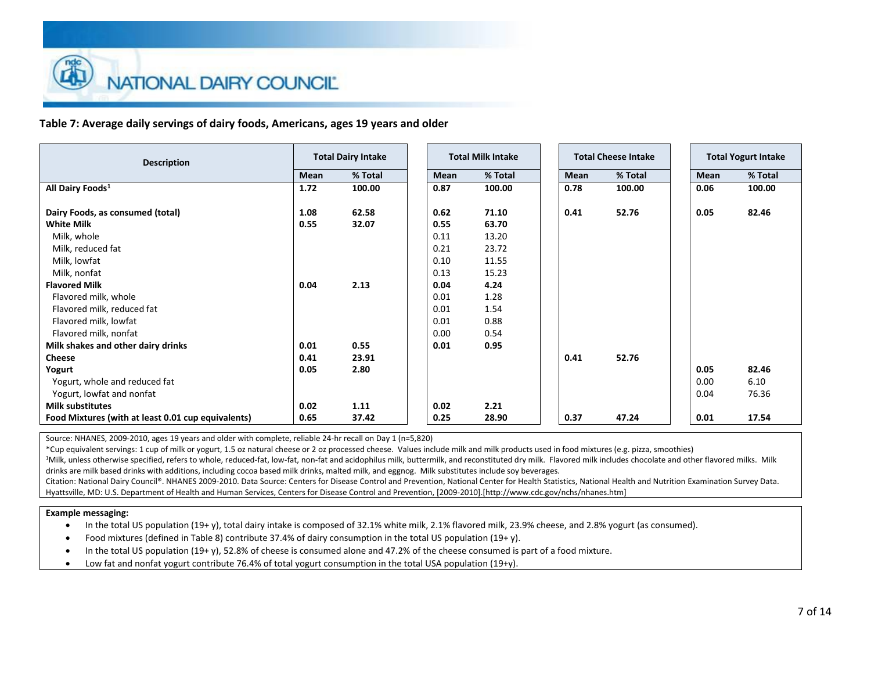### **Table 7: Average daily servings of dairy foods, Americans, ages 19 years and older**

| <b>Total Dairy Intake</b><br><b>Description</b>                     | <b>Total Milk Intake</b> |
|---------------------------------------------------------------------|--------------------------|
| % Total<br>Mean                                                     | Mean                     |
| All Dairy Foods <sup>1</sup><br>1.72<br>100.00                      | 0.87                     |
| Dairy Foods, as consumed (total)<br>1.08<br>62.58                   | 0.62                     |
| <b>White Milk</b><br>0.55<br>32.07                                  | 0.55                     |
| Milk, whole                                                         | 0.11                     |
| Milk, reduced fat                                                   | 0.21                     |
| Milk, lowfat                                                        | 0.10                     |
| Milk, nonfat                                                        | 0.13                     |
| 2.13<br><b>Flavored Milk</b><br>0.04                                | 0.04                     |
| Flavored milk, whole                                                | 0.01                     |
| Flavored milk, reduced fat                                          | 0.01                     |
| Flavored milk, lowfat                                               | 0.01                     |
| Flavored milk, nonfat                                               | 0.00                     |
| 0.55<br>Milk shakes and other dairy drinks<br>0.01                  | 0.01                     |
| <b>Cheese</b><br>23.91<br>0.41                                      |                          |
| 2.80<br>Yogurt<br>0.05                                              |                          |
| Yogurt, whole and reduced fat                                       |                          |
| Yogurt, lowfat and nonfat                                           |                          |
| <b>Milk substitutes</b><br>0.02<br>1.11                             | 0.02                     |
| Food Mixtures (with at least 0.01 cup equivalents)<br>0.65<br>37.42 | 0.25                     |

Source: NHANES, 2009-2010, ages 19 years and older with complete, reliable 24-hr recall on Day 1 (n=5,820)

\*Cup equivalent servings: 1 cup of milk or yogurt, 1.5 oz natural cheese or 2 oz processed cheese. Values include milk and milk products used in food mixtures (e.g. pizza, smoothies)

<sup>1</sup>Milk, unless otherwise specified, refers to whole, reduced-fat, low-fat, non-fat and acidophilus milk, buttermilk, and reconstituted dry milk. Flavored milk includes chocolate and other flavored milks. Milk drinks are milk based drinks with additions, including cocoa based milk drinks, malted milk, and eggnog. Milk substitutes include soy beverages.

Citation: National Dairy Council®. NHANES 2009-2010. Data Source: Centers for Disease Control and Prevention, National Center for Health Statistics, National Health and Nutrition Examination Survey Data. Hyattsville, MD: U.S. Department of Health and Human Services, Centers for Disease Control and Prevention, [2009-2010].[http://www.cdc.gov/nchs/nhanes.htm]

### **Example messaging:**

In the total US population (19+ y), total dairy intake is composed of 32.1% white milk, 2.1% flavored milk, 23.9% cheese, and 2.8% yogurt (as consumed).

- Food mixtures (defined in Table 8) contribute 37.4% of dairy consumption in the total US population (19+ y).
- In the total US population (19+ y), 52.8% of cheese is consumed alone and 47.2% of the cheese consumed is part of a food mixture.
- Low fat and nonfat yogurt contribute 76.4% of total yogurt consumption in the total USA population (19+y).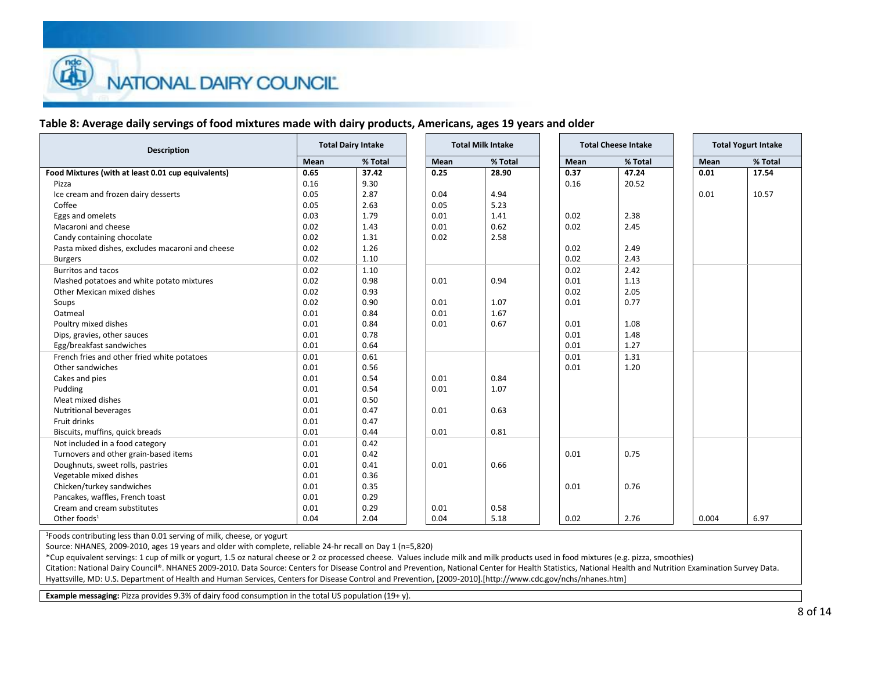## **Table 8: Average daily servings of food mixtures made with dairy products, Americans, ages 19 years and older**

| <b>Description</b>                                 |      | <b>Total Dairy Intake</b> |      | <b>Total Milk Intake</b> |      | <b>Total Cheese Intake</b> | <b>Total Yogurt Intake</b> |
|----------------------------------------------------|------|---------------------------|------|--------------------------|------|----------------------------|----------------------------|
|                                                    | Mean | % Total                   | Mean | % Total                  | Mean | % Total                    | Mean                       |
| Food Mixtures (with at least 0.01 cup equivalents) | 0.65 | 37.42                     | 0.25 | 28.90                    | 0.37 | 47.24                      | 0.01                       |
| Pizza                                              | 0.16 | 9.30                      |      |                          | 0.16 | 20.52                      |                            |
| Ice cream and frozen dairy desserts                | 0.05 | 2.87                      | 0.04 | 4.94                     |      |                            | 0.01                       |
| Coffee                                             | 0.05 | 2.63                      | 0.05 | 5.23                     |      |                            |                            |
| Eggs and omelets                                   | 0.03 | 1.79                      | 0.01 | 1.41                     | 0.02 | 2.38                       |                            |
| Macaroni and cheese                                | 0.02 | 1.43                      | 0.01 | 0.62                     | 0.02 | 2.45                       |                            |
| Candy containing chocolate                         | 0.02 | 1.31                      | 0.02 | 2.58                     |      |                            |                            |
| Pasta mixed dishes, excludes macaroni and cheese   | 0.02 | 1.26                      |      |                          | 0.02 | 2.49                       |                            |
| <b>Burgers</b>                                     | 0.02 | 1.10                      |      |                          | 0.02 | 2.43                       |                            |
| <b>Burritos and tacos</b>                          | 0.02 | 1.10                      |      |                          | 0.02 | 2.42                       |                            |
| Mashed potatoes and white potato mixtures          | 0.02 | 0.98                      | 0.01 | 0.94                     | 0.01 | 1.13                       |                            |
| Other Mexican mixed dishes                         | 0.02 | 0.93                      |      |                          | 0.02 | 2.05                       |                            |
| Soups                                              | 0.02 | 0.90                      | 0.01 | 1.07                     | 0.01 | 0.77                       |                            |
| Oatmeal                                            | 0.01 | 0.84                      | 0.01 | 1.67                     |      |                            |                            |
| Poultry mixed dishes                               | 0.01 | 0.84                      | 0.01 | 0.67                     | 0.01 | 1.08                       |                            |
| Dips, gravies, other sauces                        | 0.01 | 0.78                      |      |                          | 0.01 | 1.48                       |                            |
| Egg/breakfast sandwiches                           | 0.01 | 0.64                      |      |                          | 0.01 | 1.27                       |                            |
| French fries and other fried white potatoes        | 0.01 | 0.61                      |      |                          | 0.01 | 1.31                       |                            |
| Other sandwiches                                   | 0.01 | 0.56                      |      |                          | 0.01 | 1.20                       |                            |
| Cakes and pies                                     | 0.01 | 0.54                      | 0.01 | 0.84                     |      |                            |                            |
| Pudding                                            | 0.01 | 0.54                      | 0.01 | 1.07                     |      |                            |                            |
| Meat mixed dishes                                  | 0.01 | 0.50                      |      |                          |      |                            |                            |
| <b>Nutritional beverages</b>                       | 0.01 | 0.47                      | 0.01 | 0.63                     |      |                            |                            |
| Fruit drinks                                       | 0.01 | 0.47                      |      |                          |      |                            |                            |
| Biscuits, muffins, quick breads                    | 0.01 | 0.44                      | 0.01 | 0.81                     |      |                            |                            |
| Not included in a food category                    | 0.01 | 0.42                      |      |                          |      |                            |                            |
| Turnovers and other grain-based items              | 0.01 | 0.42                      |      |                          | 0.01 | 0.75                       |                            |
| Doughnuts, sweet rolls, pastries                   | 0.01 | 0.41                      | 0.01 | 0.66                     |      |                            |                            |
| Vegetable mixed dishes                             | 0.01 | 0.36                      |      |                          |      |                            |                            |
| Chicken/turkey sandwiches                          | 0.01 | 0.35                      |      |                          | 0.01 | 0.76                       |                            |
| Pancakes, waffles, French toast                    | 0.01 | 0.29                      |      |                          |      |                            |                            |
| Cream and cream substitutes                        | 0.01 | 0.29                      | 0.01 | 0.58                     |      |                            |                            |
| Other foods $1$                                    | 0.04 | 2.04                      | 0.04 | 5.18                     | 0.02 | 2.76                       | 0.004                      |

<sup>1</sup>Foods contributing less than 0.01 serving of milk, cheese, or yogurt

Source: NHANES, 2009-2010, ages 19 years and older with complete, reliable 24-hr recall on Day 1 (n=5,820)

\*Cup equivalent servings: 1 cup of milk or yogurt, 1.5 oz natural cheese or 2 oz processed cheese. Values include milk and milk products used in food mixtures (e.g. pizza, smoothies)

Citation: National Dairy Council®. NHANES 2009-2010. Data Source: Centers for Disease Control and Prevention, National Center for Health Statistics, National Health and Nutrition Examination Survey Data. Hyattsville, MD: U.S. Department of Health and Human Services, Centers for Disease Control and Prevention, [2009-2010].[http://www.cdc.gov/nchs/nhanes.htm]

**Example messaging:** Pizza provides 9.3% of dairy food consumption in the total US population (19+ y).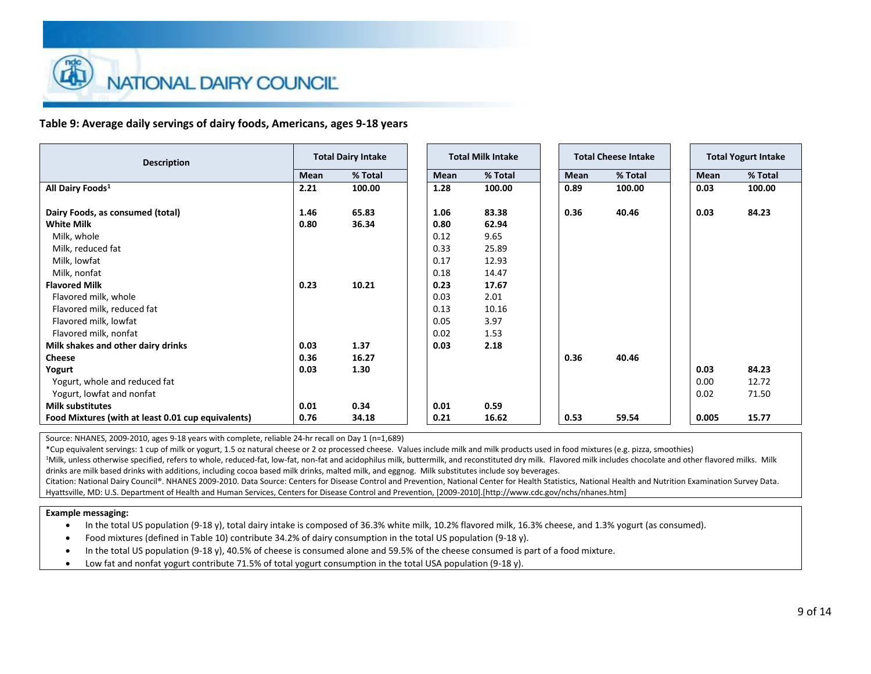### **Table 9: Average daily servings of dairy foods, Americans, ages 9-18 years**

| <b>Description</b>                                 |      | <b>Total Dairy Intake</b> |      | <b>Total Milk Intake</b> | <b>Total Cheese Intake</b> |
|----------------------------------------------------|------|---------------------------|------|--------------------------|----------------------------|
|                                                    | Mean | % Total                   | Mean | % Total                  | Mean                       |
| All Dairy Foods <sup>1</sup>                       | 2.21 | 100.00                    | 1.28 | 100.00                   | 0.89                       |
| Dairy Foods, as consumed (total)                   | 1.46 | 65.83                     | 1.06 | 83.38                    | 0.36                       |
| <b>White Milk</b>                                  | 0.80 | 36.34                     | 0.80 | 62.94                    |                            |
| Milk, whole                                        |      |                           | 0.12 | 9.65                     |                            |
| Milk, reduced fat                                  |      |                           | 0.33 | 25.89                    |                            |
| Milk, lowfat                                       |      |                           | 0.17 | 12.93                    |                            |
| Milk, nonfat                                       |      |                           | 0.18 | 14.47                    |                            |
| <b>Flavored Milk</b>                               | 0.23 | 10.21                     | 0.23 | 17.67                    |                            |
| Flavored milk, whole                               |      |                           | 0.03 | 2.01                     |                            |
| Flavored milk, reduced fat                         |      |                           | 0.13 | 10.16                    |                            |
| Flavored milk, lowfat                              |      |                           | 0.05 | 3.97                     |                            |
| Flavored milk, nonfat                              |      |                           | 0.02 | 1.53                     |                            |
| Milk shakes and other dairy drinks                 | 0.03 | 1.37                      | 0.03 | 2.18                     |                            |
| <b>Cheese</b>                                      | 0.36 | 16.27                     |      |                          | 0.36                       |
| Yogurt                                             | 0.03 | 1.30                      |      |                          |                            |
| Yogurt, whole and reduced fat                      |      |                           |      |                          |                            |
| Yogurt, lowfat and nonfat                          |      |                           |      |                          |                            |
| <b>Milk substitutes</b>                            | 0.01 | 0.34                      | 0.01 | 0.59                     |                            |
| Food Mixtures (with at least 0.01 cup equivalents) | 0.76 | 34.18                     | 0.21 | 16.62                    | 0.53                       |

Source: NHANES, 2009-2010, ages 9-18 years with complete, reliable 24-hr recall on Day 1 (n=1,689)

\*Cup equivalent servings: 1 cup of milk or yogurt, 1.5 oz natural cheese or 2 oz processed cheese. Values include milk and milk products used in food mixtures (e.g. pizza, smoothies)

<sup>1</sup>Milk, unless otherwise specified, refers to whole, reduced-fat, low-fat, non-fat and acidophilus milk, buttermilk, and reconstituted dry milk. Flavored milk includes chocolate and other flavored milks. Milk drinks are milk based drinks with additions, including cocoa based milk drinks, malted milk, and eggnog. Milk substitutes include soy beverages.

Citation: National Dairy Council®. NHANES 2009-2010. Data Source: Centers for Disease Control and Prevention, National Center for Health Statistics, National Health and Nutrition Examination Survey Data. Hyattsville, MD: U.S. Department of Health and Human Services, Centers for Disease Control and Prevention, [2009-2010].[http://www.cdc.gov/nchs/nhanes.htm]

#### **Example messaging:**

In the total US population (9-18 y), total dairy intake is composed of 36.3% white milk, 10.2% flavored milk, 16.3% cheese, and 1.3% yogurt (as consumed).

- Food mixtures (defined in Table 10) contribute 34.2% of dairy consumption in the total US population (9-18 y).
- In the total US population (9-18 y), 40.5% of cheese is consumed alone and 59.5% of the cheese consumed is part of a food mixture.
- Low fat and nonfat yogurt contribute 71.5% of total yogurt consumption in the total USA population (9-18 y).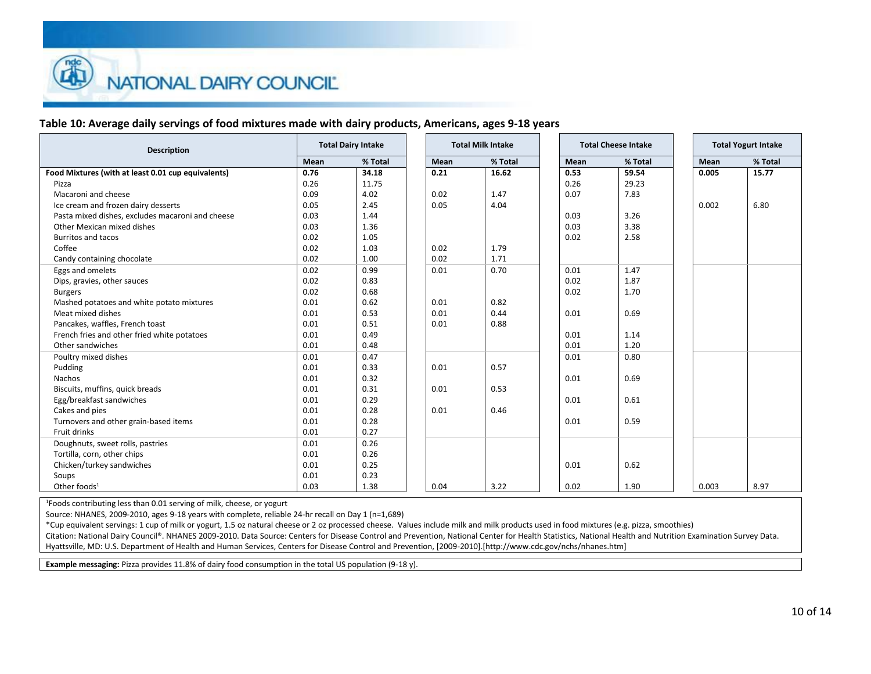## **Table 10: Average daily servings of food mixtures made with dairy products, Americans, ages 9-18 years**

| <b>Description</b>                                 | <b>Total Dairy Intake</b> |         | <b>Total Milk Intake</b> |         |  | <b>Total Cheese Intake</b> |         |  |       | <b>Total Yogurt Intake</b> |
|----------------------------------------------------|---------------------------|---------|--------------------------|---------|--|----------------------------|---------|--|-------|----------------------------|
|                                                    | Mean                      | % Total | Mean                     | % Total |  | Mean                       | % Total |  | Mean  | % Total                    |
| Food Mixtures (with at least 0.01 cup equivalents) | 0.76                      | 34.18   | 0.21                     | 16.62   |  | 0.53                       | 59.54   |  | 0.005 | 15.77                      |
| Pizza                                              | 0.26                      | 11.75   |                          |         |  | 0.26                       | 29.23   |  |       |                            |
| Macaroni and cheese                                | 0.09                      | 4.02    | 0.02                     | 1.47    |  | 0.07                       | 7.83    |  |       |                            |
| Ice cream and frozen dairy desserts                | 0.05                      | 2.45    | 0.05                     | 4.04    |  |                            |         |  | 0.002 | 6.80                       |
| Pasta mixed dishes, excludes macaroni and cheese   | 0.03                      | 1.44    |                          |         |  | 0.03                       | 3.26    |  |       |                            |
| Other Mexican mixed dishes                         | 0.03                      | 1.36    |                          |         |  | 0.03                       | 3.38    |  |       |                            |
| <b>Burritos and tacos</b>                          | 0.02                      | 1.05    |                          |         |  | 0.02                       | 2.58    |  |       |                            |
| Coffee                                             | 0.02                      | 1.03    | 0.02                     | 1.79    |  |                            |         |  |       |                            |
| Candy containing chocolate                         | 0.02                      | 1.00    | 0.02                     | 1.71    |  |                            |         |  |       |                            |
| Eggs and omelets                                   | 0.02                      | 0.99    | 0.01                     | 0.70    |  | 0.01                       | 1.47    |  |       |                            |
| Dips, gravies, other sauces                        | 0.02                      | 0.83    |                          |         |  | 0.02                       | 1.87    |  |       |                            |
| <b>Burgers</b>                                     | 0.02                      | 0.68    |                          |         |  | 0.02                       | 1.70    |  |       |                            |
| Mashed potatoes and white potato mixtures          | 0.01                      | 0.62    | 0.01                     | 0.82    |  |                            |         |  |       |                            |
| Meat mixed dishes                                  | 0.01                      | 0.53    | 0.01                     | 0.44    |  | 0.01                       | 0.69    |  |       |                            |
| Pancakes, waffles, French toast                    | 0.01                      | 0.51    | 0.01                     | 0.88    |  |                            |         |  |       |                            |
| French fries and other fried white potatoes        | 0.01                      | 0.49    |                          |         |  | 0.01                       | 1.14    |  |       |                            |
| Other sandwiches                                   | 0.01                      | 0.48    |                          |         |  | 0.01                       | 1.20    |  |       |                            |
| Poultry mixed dishes                               | 0.01                      | 0.47    |                          |         |  | 0.01                       | 0.80    |  |       |                            |
| Pudding                                            | 0.01                      | 0.33    | 0.01                     | 0.57    |  |                            |         |  |       |                            |
| Nachos                                             | 0.01                      | 0.32    |                          |         |  | 0.01                       | 0.69    |  |       |                            |
| Biscuits, muffins, quick breads                    | 0.01                      | 0.31    | 0.01                     | 0.53    |  |                            |         |  |       |                            |
| Egg/breakfast sandwiches                           | 0.01                      | 0.29    |                          |         |  | 0.01                       | 0.61    |  |       |                            |
| Cakes and pies                                     | 0.01                      | 0.28    | 0.01                     | 0.46    |  |                            |         |  |       |                            |
| Turnovers and other grain-based items              | 0.01                      | 0.28    |                          |         |  | 0.01                       | 0.59    |  |       |                            |
| Fruit drinks                                       | 0.01                      | 0.27    |                          |         |  |                            |         |  |       |                            |
| Doughnuts, sweet rolls, pastries                   | 0.01                      | 0.26    |                          |         |  |                            |         |  |       |                            |
| Tortilla, corn, other chips                        | 0.01                      | 0.26    |                          |         |  |                            |         |  |       |                            |
| Chicken/turkey sandwiches                          | 0.01                      | 0.25    |                          |         |  | 0.01                       | 0.62    |  |       |                            |
| Soups                                              | 0.01                      | 0.23    |                          |         |  |                            |         |  |       |                            |
| Other foods $1$                                    | 0.03                      | 1.38    | 0.04                     | 3.22    |  | 0.02                       | 1.90    |  | 0.003 | 8.97                       |

<sup>1</sup>Foods contributing less than 0.01 serving of milk, cheese, or yogurt

Source: NHANES, 2009-2010, ages 9-18 years with complete, reliable 24-hr recall on Day 1 (n=1,689)

\*Cup equivalent servings: 1 cup of milk or yogurt, 1.5 oz natural cheese or 2 oz processed cheese. Values include milk and milk products used in food mixtures (e.g. pizza, smoothies)

Citation: National Dairy Council®. NHANES 2009-2010. Data Source: Centers for Disease Control and Prevention, National Center for Health Statistics, National Health and Nutrition Examination Survey Data. Hyattsville, MD: U.S. Department of Health and Human Services, Centers for Disease Control and Prevention, [2009-2010].[http://www.cdc.gov/nchs/nhanes.htm]

**Example messaging:** Pizza provides 11.8% of dairy food consumption in the total US population (9-18 y).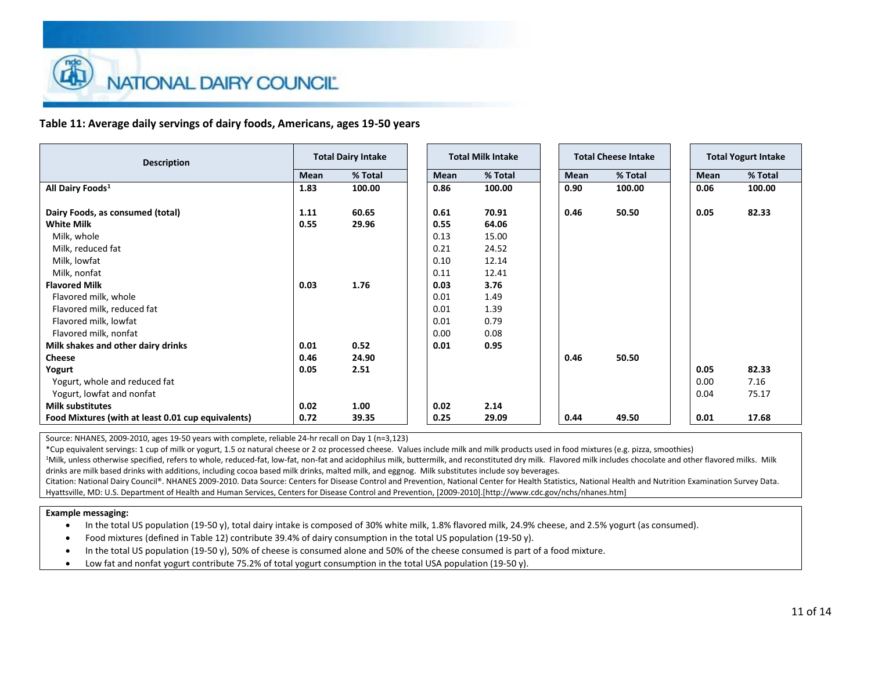**Table 11: Average daily servings of dairy foods, Americans, ages 19-50 years**

| <b>Total Dairy Intake</b><br><b>Description</b>                     | <b>Total Milk Intake</b> |
|---------------------------------------------------------------------|--------------------------|
| % Total<br>Mean                                                     | Mean                     |
| All Dairy Foods <sup>1</sup><br>100.00<br>1.83                      | 0.86                     |
| Dairy Foods, as consumed (total)<br>60.65<br>1.11                   | 0.61                     |
| 29.96<br><b>White Milk</b><br>0.55                                  | 0.55                     |
| Milk, whole                                                         | 0.13                     |
| Milk, reduced fat                                                   | 0.21                     |
| Milk, lowfat                                                        | 0.10                     |
| Milk, nonfat                                                        | 0.11                     |
| <b>Flavored Milk</b><br>1.76<br>0.03                                | 0.03                     |
| Flavored milk, whole                                                | 0.01                     |
| Flavored milk, reduced fat                                          | 0.01                     |
| Flavored milk, lowfat                                               | 0.01                     |
| Flavored milk, nonfat                                               | 0.00                     |
| 0.52<br>Milk shakes and other dairy drinks<br>0.01                  | 0.01                     |
| <b>Cheese</b><br>24.90<br>0.46                                      |                          |
| 2.51<br>Yogurt<br>0.05                                              |                          |
| Yogurt, whole and reduced fat                                       |                          |
| Yogurt, lowfat and nonfat                                           |                          |
| <b>Milk substitutes</b><br>0.02<br>1.00                             | 0.02                     |
| Food Mixtures (with at least 0.01 cup equivalents)<br>0.72<br>39.35 | 0.25                     |

Source: NHANES, 2009-2010, ages 19-50 years with complete, reliable 24-hr recall on Day 1 (n=3,123)

\*Cup equivalent servings: 1 cup of milk or yogurt, 1.5 oz natural cheese or 2 oz processed cheese. Values include milk and milk products used in food mixtures (e.g. pizza, smoothies)

<sup>1</sup>Milk, unless otherwise specified, refers to whole, reduced-fat, low-fat, non-fat and acidophilus milk, buttermilk, and reconstituted dry milk. Flavored milk includes chocolate and other flavored milks. Milk drinks are milk based drinks with additions, including cocoa based milk drinks, malted milk, and eggnog. Milk substitutes include soy beverages.

Citation: National Dairy Council®. NHANES 2009-2010. Data Source: Centers for Disease Control and Prevention, National Center for Health Statistics, National Health and Nutrition Examination Survey Data. Hyattsville, MD: U.S. Department of Health and Human Services, Centers for Disease Control and Prevention, [2009-2010].[http://www.cdc.gov/nchs/nhanes.htm]

### **Example messaging:**

In the total US population (19-50 y), total dairy intake is composed of 30% white milk, 1.8% flavored milk, 24.9% cheese, and 2.5% yogurt (as consumed).

- Food mixtures (defined in Table 12) contribute 39.4% of dairy consumption in the total US population (19-50 y).
- In the total US population (19-50 y), 50% of cheese is consumed alone and 50% of the cheese consumed is part of a food mixture.
- Low fat and nonfat yogurt contribute 75.2% of total yogurt consumption in the total USA population (19-50 y).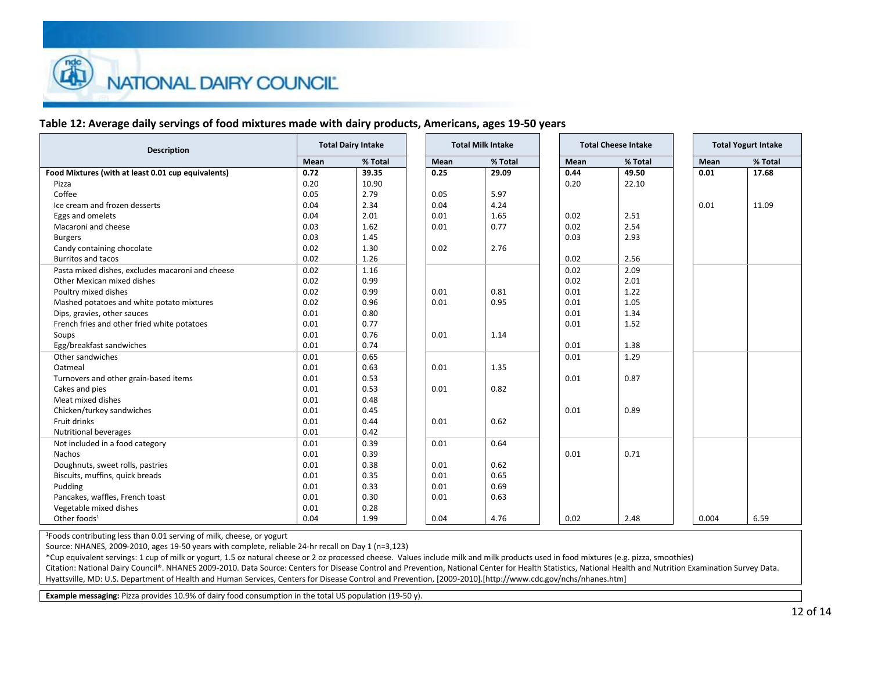## **Table 12: Average daily servings of food mixtures made with dairy products, Americans, ages 19-50 years**

| <b>Description</b>                                 | <b>Total Dairy Intake</b><br><b>Total Milk Intake</b> |         |  | <b>Total Cheese Intake</b> | <b>Total Yogurt Intake</b> |  |      |         |       |
|----------------------------------------------------|-------------------------------------------------------|---------|--|----------------------------|----------------------------|--|------|---------|-------|
|                                                    | Mean                                                  | % Total |  | Mean                       | % Total                    |  | Mean | % Total | Mean  |
| Food Mixtures (with at least 0.01 cup equivalents) | 0.72                                                  | 39.35   |  | 0.25                       | 29.09                      |  | 0.44 | 49.50   | 0.01  |
| Pizza                                              | 0.20                                                  | 10.90   |  |                            |                            |  | 0.20 | 22.10   |       |
| Coffee                                             | 0.05                                                  | 2.79    |  | 0.05                       | 5.97                       |  |      |         |       |
| Ice cream and frozen desserts                      | 0.04                                                  | 2.34    |  | 0.04                       | 4.24                       |  |      |         | 0.01  |
| Eggs and omelets                                   | 0.04                                                  | 2.01    |  | 0.01                       | 1.65                       |  | 0.02 | 2.51    |       |
| Macaroni and cheese                                | 0.03                                                  | 1.62    |  | 0.01                       | 0.77                       |  | 0.02 | 2.54    |       |
| <b>Burgers</b>                                     | 0.03                                                  | 1.45    |  |                            |                            |  | 0.03 | 2.93    |       |
| Candy containing chocolate                         | 0.02                                                  | 1.30    |  | 0.02                       | 2.76                       |  |      |         |       |
| <b>Burritos and tacos</b>                          | 0.02                                                  | 1.26    |  |                            |                            |  | 0.02 | 2.56    |       |
| Pasta mixed dishes, excludes macaroni and cheese   | 0.02                                                  | 1.16    |  |                            |                            |  | 0.02 | 2.09    |       |
| Other Mexican mixed dishes                         | 0.02                                                  | 0.99    |  |                            |                            |  | 0.02 | 2.01    |       |
| Poultry mixed dishes                               | 0.02                                                  | 0.99    |  | 0.01                       | 0.81                       |  | 0.01 | 1.22    |       |
| Mashed potatoes and white potato mixtures          | 0.02                                                  | 0.96    |  | 0.01                       | 0.95                       |  | 0.01 | 1.05    |       |
| Dips, gravies, other sauces                        | 0.01                                                  | 0.80    |  |                            |                            |  | 0.01 | 1.34    |       |
| French fries and other fried white potatoes        | 0.01                                                  | 0.77    |  |                            |                            |  | 0.01 | 1.52    |       |
| Soups                                              | 0.01                                                  | 0.76    |  | 0.01                       | 1.14                       |  |      |         |       |
| Egg/breakfast sandwiches                           | 0.01                                                  | 0.74    |  |                            |                            |  | 0.01 | 1.38    |       |
| Other sandwiches                                   | 0.01                                                  | 0.65    |  |                            |                            |  | 0.01 | 1.29    |       |
| Oatmeal                                            | 0.01                                                  | 0.63    |  | 0.01                       | 1.35                       |  |      |         |       |
| Turnovers and other grain-based items              | 0.01                                                  | 0.53    |  |                            |                            |  | 0.01 | 0.87    |       |
| Cakes and pies                                     | 0.01                                                  | 0.53    |  | 0.01                       | 0.82                       |  |      |         |       |
| Meat mixed dishes                                  | 0.01                                                  | 0.48    |  |                            |                            |  |      |         |       |
| Chicken/turkey sandwiches                          | 0.01                                                  | 0.45    |  |                            |                            |  | 0.01 | 0.89    |       |
| Fruit drinks                                       | 0.01                                                  | 0.44    |  | 0.01                       | 0.62                       |  |      |         |       |
| Nutritional beverages                              | 0.01                                                  | 0.42    |  |                            |                            |  |      |         |       |
| Not included in a food category                    | 0.01                                                  | 0.39    |  | 0.01                       | 0.64                       |  |      |         |       |
| Nachos                                             | 0.01                                                  | 0.39    |  |                            |                            |  | 0.01 | 0.71    |       |
| Doughnuts, sweet rolls, pastries                   | 0.01                                                  | 0.38    |  | 0.01                       | 0.62                       |  |      |         |       |
| Biscuits, muffins, quick breads                    | 0.01                                                  | 0.35    |  | 0.01                       | 0.65                       |  |      |         |       |
| Pudding                                            | 0.01                                                  | 0.33    |  | 0.01                       | 0.69                       |  |      |         |       |
|                                                    | 0.01                                                  | 0.30    |  | 0.01                       | 0.63                       |  |      |         |       |
| Pancakes, waffles, French toast                    | 0.01                                                  | 0.28    |  |                            |                            |  |      |         |       |
| Vegetable mixed dishes<br>Other foods <sup>1</sup> | 0.04                                                  | 1.99    |  | 0.04                       | 4.76                       |  | 0.02 | 2.48    | 0.004 |

<sup>1</sup>Foods contributing less than 0.01 serving of milk, cheese, or yogurt

Source: NHANES, 2009-2010, ages 19-50 years with complete, reliable 24-hr recall on Day 1 (n=3,123)

\*Cup equivalent servings: 1 cup of milk or yogurt, 1.5 oz natural cheese or 2 oz processed cheese. Values include milk and milk products used in food mixtures (e.g. pizza, smoothies)

Citation: National Dairy Council®. NHANES 2009-2010. Data Source: Centers for Disease Control and Prevention, National Center for Health Statistics, National Health and Nutrition Examination Survey Data. Hyattsville, MD: U.S. Department of Health and Human Services, Centers for Disease Control and Prevention, [2009-2010].[http://www.cdc.gov/nchs/nhanes.htm]

**Example messaging:** Pizza provides 10.9% of dairy food consumption in the total US population (19-50 y).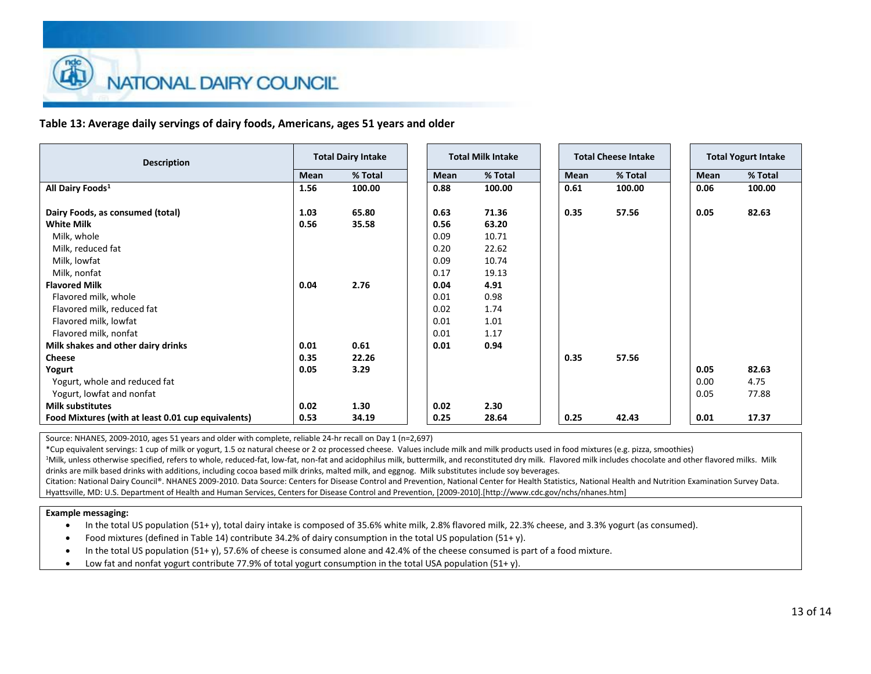**Table 13: Average daily servings of dairy foods, Americans, ages 51 years and older**

| <b>Total Dairy Intake</b><br><b>Description</b>                                                                |
|----------------------------------------------------------------------------------------------------------------|
| % Total<br>Mean                                                                                                |
| All Dairy Foods <sup>1</sup><br>100.00<br>1.56                                                                 |
| Dairy Foods, as consumed (total)<br>1.03<br>65.80                                                              |
| <b>White Milk</b><br>0.56<br>35.58                                                                             |
| Milk, whole                                                                                                    |
| Milk, reduced fat                                                                                              |
| Milk, lowfat                                                                                                   |
| Milk, nonfat                                                                                                   |
| <b>Flavored Milk</b><br>2.76<br>0.04                                                                           |
| Flavored milk, whole                                                                                           |
| Flavored milk, reduced fat                                                                                     |
| Flavored milk, lowfat                                                                                          |
| Flavored milk, nonfat                                                                                          |
| Milk shakes and other dairy drinks<br>0.61<br>0.01                                                             |
| <b>Cheese</b><br>22.26<br>0.35                                                                                 |
| 3.29<br>Yogurt<br>0.05                                                                                         |
| Yogurt, whole and reduced fat                                                                                  |
| Yogurt, lowfat and nonfat                                                                                      |
| <b>Milk substitutes</b><br>0.02<br>1.30<br>34.19<br>Food Mixtures (with at least 0.01 cup equivalents)<br>0.53 |

Source: NHANES, 2009-2010, ages 51 years and older with complete, reliable 24-hr recall on Day 1 (n=2,697)

\*Cup equivalent servings: 1 cup of milk or yogurt, 1.5 oz natural cheese or 2 oz processed cheese. Values include milk and milk products used in food mixtures (e.g. pizza, smoothies)

<sup>1</sup>Milk, unless otherwise specified, refers to whole, reduced-fat, low-fat, non-fat and acidophilus milk, buttermilk, and reconstituted dry milk. Flavored milk includes chocolate and other flavored milks. Milk drinks are milk based drinks with additions, including cocoa based milk drinks, malted milk, and eggnog. Milk substitutes include soy beverages.

Citation: National Dairy Council®. NHANES 2009-2010. Data Source: Centers for Disease Control and Prevention, National Center for Health Statistics, National Health and Nutrition Examination Survey Data. Hyattsville, MD: U.S. Department of Health and Human Services, Centers for Disease Control and Prevention, [2009-2010].[http://www.cdc.gov/nchs/nhanes.htm]

### **Example messaging:**

In the total US population (51+ y), total dairy intake is composed of 35.6% white milk, 2.8% flavored milk, 22.3% cheese, and 3.3% yogurt (as consumed).

- Food mixtures (defined in Table 14) contribute 34.2% of dairy consumption in the total US population (51+ y).
- In the total US population (51+ y), 57.6% of cheese is consumed alone and 42.4% of the cheese consumed is part of a food mixture.
- Low fat and nonfat yogurt contribute 77.9% of total yogurt consumption in the total USA population (51+ y).